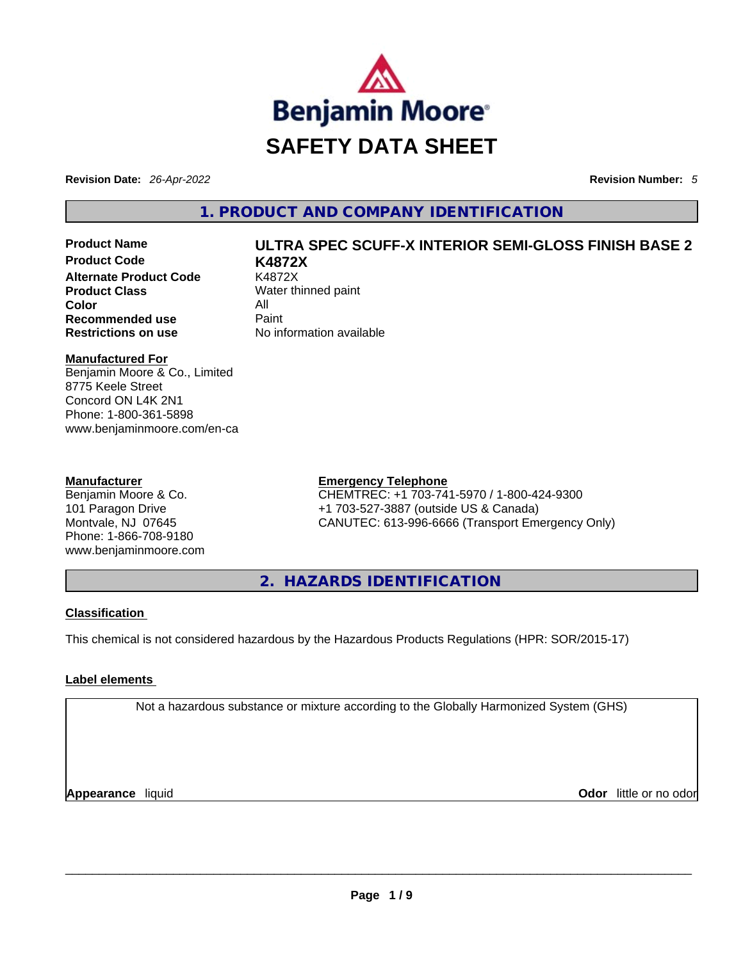

**Revision Date:** *26-Apr-2022* **Revision Number:** *5*

# **1. PRODUCT AND COMPANY IDENTIFICATION**

**Product Code K4872X Alternate Product Code** K4872X **Product Class** Water thinned paint **Color** All **Recommended use Paint Restrictions on use** No information available

# **Product Name ULTRA SPEC SCUFF-X INTERIOR SEMI-GLOSS FINISH BASE 2**

### **Manufactured For**

Benjamin Moore & Co., Limited 8775 Keele Street Concord ON L4K 2N1 Phone: 1-800-361-5898 www.benjaminmoore.com/en-ca

#### **Manufacturer**

Benjamin Moore & Co. 101 Paragon Drive Montvale, NJ 07645 Phone: 1-866-708-9180 www.benjaminmoore.com

# **Emergency Telephone**

CHEMTREC: +1 703-741-5970 / 1-800-424-9300 +1 703-527-3887 (outside US & Canada) CANUTEC: 613-996-6666 (Transport Emergency Only)

**2. HAZARDS IDENTIFICATION** 

# **Classification**

This chemical is not considered hazardous by the Hazardous Products Regulations (HPR: SOR/2015-17)

# **Label elements**

Not a hazardous substance or mixture according to the Globally Harmonized System (GHS)

**Appearance** liquid **Odor** little or no odor \_\_\_\_\_\_\_\_\_\_\_\_\_\_\_\_\_\_\_\_\_\_\_\_\_\_\_\_\_\_\_\_\_\_\_\_\_\_\_\_\_\_\_\_\_\_\_\_\_\_\_\_\_\_\_\_\_\_\_\_\_\_\_\_\_\_\_\_\_\_\_\_\_\_\_\_\_\_\_\_\_\_\_\_\_\_\_\_\_\_\_\_\_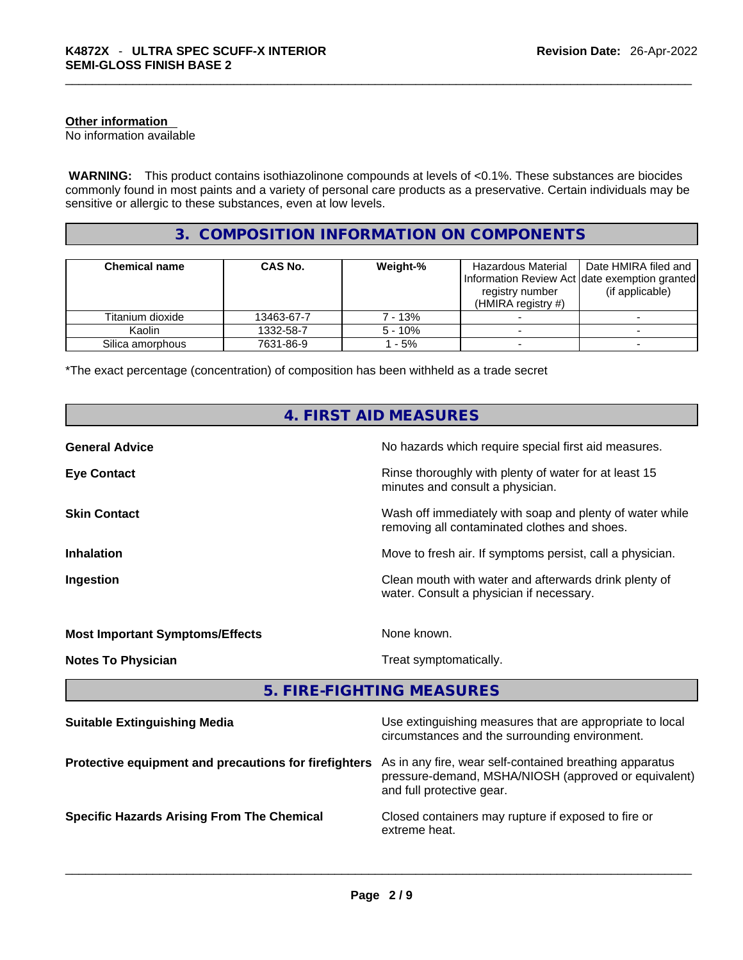#### **Other information**

No information available

 **WARNING:** This product contains isothiazolinone compounds at levels of <0.1%. These substances are biocides commonly found in most paints and a variety of personal care products as a preservative. Certain individuals may be sensitive or allergic to these substances, even at low levels.

# **3. COMPOSITION INFORMATION ON COMPONENTS**

| <b>Chemical name</b> | <b>CAS No.</b> | Weight-%  | Hazardous Material<br>registry number<br>(HMIRA registry $#$ ) | Date HMIRA filed and<br>Information Review Act date exemption granted<br>(if applicable) |
|----------------------|----------------|-----------|----------------------------------------------------------------|------------------------------------------------------------------------------------------|
| Titanium dioxide     | 13463-67-7     | 7 - 13%   |                                                                |                                                                                          |
| Kaolin               | 1332-58-7      | $5 - 10%$ |                                                                |                                                                                          |
| Silica amorphous     | 7631-86-9      | $-5%$     |                                                                |                                                                                          |

\*The exact percentage (concentration) of composition has been withheld as a trade secret

| <b>4. FIRST AID MEASURES</b>                          |                                                                                                                                              |  |  |  |
|-------------------------------------------------------|----------------------------------------------------------------------------------------------------------------------------------------------|--|--|--|
| <b>General Advice</b>                                 | No hazards which require special first aid measures.                                                                                         |  |  |  |
| <b>Eye Contact</b>                                    | Rinse thoroughly with plenty of water for at least 15<br>minutes and consult a physician.                                                    |  |  |  |
| <b>Skin Contact</b>                                   | Wash off immediately with soap and plenty of water while<br>removing all contaminated clothes and shoes.                                     |  |  |  |
| <b>Inhalation</b>                                     | Move to fresh air. If symptoms persist, call a physician.                                                                                    |  |  |  |
| Ingestion                                             | Clean mouth with water and afterwards drink plenty of<br>water. Consult a physician if necessary.                                            |  |  |  |
| <b>Most Important Symptoms/Effects</b>                | None known.                                                                                                                                  |  |  |  |
| <b>Notes To Physician</b>                             | Treat symptomatically.                                                                                                                       |  |  |  |
|                                                       | 5. FIRE-FIGHTING MEASURES                                                                                                                    |  |  |  |
| <b>Suitable Extinguishing Media</b>                   | Use extinguishing measures that are appropriate to local<br>circumstances and the surrounding environment.                                   |  |  |  |
| Protective equipment and precautions for firefighters | As in any fire, wear self-contained breathing apparatus<br>pressure-demand, MSHA/NIOSH (approved or equivalent)<br>and full protective gear. |  |  |  |
| <b>Specific Hazards Arising From The Chemical</b>     | Closed containers may rupture if exposed to fire or<br>extreme heat.                                                                         |  |  |  |
|                                                       |                                                                                                                                              |  |  |  |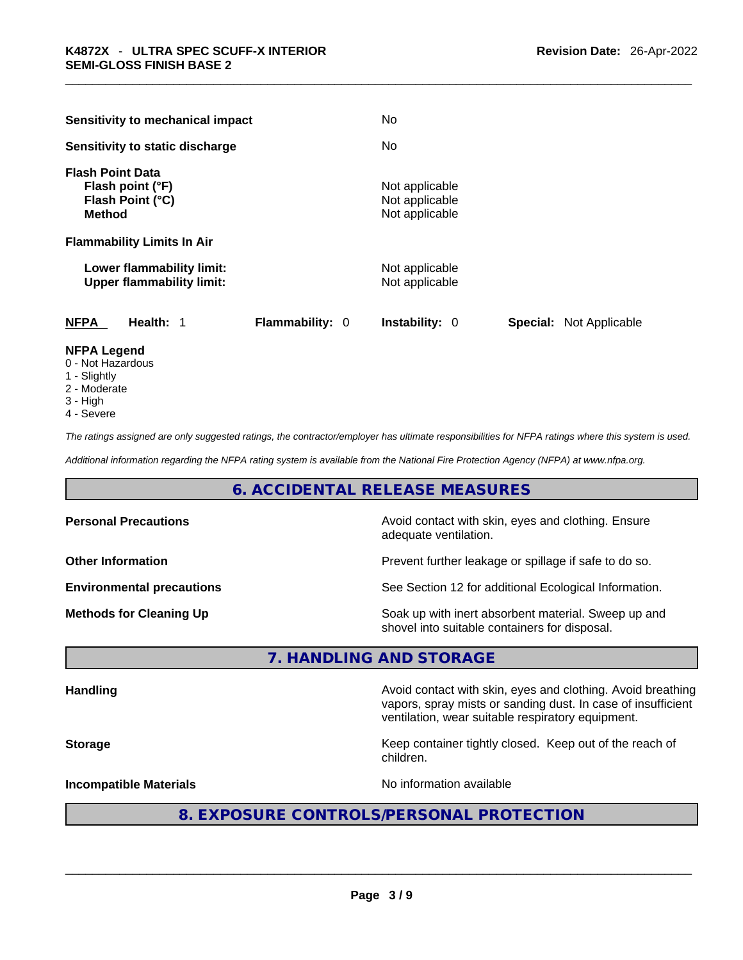| <b>Sensitivity to mechanical impact</b>                                                            | No.                                                |                                |
|----------------------------------------------------------------------------------------------------|----------------------------------------------------|--------------------------------|
| Sensitivity to static discharge                                                                    | No.                                                |                                |
| <b>Flash Point Data</b><br>Flash point (°F)<br>Flash Point (°C)<br><b>Method</b>                   | Not applicable<br>Not applicable<br>Not applicable |                                |
| <b>Flammability Limits In Air</b><br>Lower flammability limit:<br><b>Upper flammability limit:</b> | Not applicable<br>Not applicable                   |                                |
| <b>NFPA</b><br>Health: 1                                                                           | <b>Flammability: 0</b><br><b>Instability: 0</b>    | <b>Special:</b> Not Applicable |

# **NFPA Legend**

- 0 Not Hazardous
- 1 Slightly
- 2 Moderate
- 3 High
- 4 Severe

*The ratings assigned are only suggested ratings, the contractor/employer has ultimate responsibilities for NFPA ratings where this system is used.* 

*Additional information regarding the NFPA rating system is available from the National Fire Protection Agency (NFPA) at www.nfpa.org.* 

# **6. ACCIDENTAL RELEASE MEASURES**

| Avoid contact with skin, eyes and clothing. Ensure<br>adequate ventilation.                          |  |
|------------------------------------------------------------------------------------------------------|--|
| Prevent further leakage or spillage if safe to do so.                                                |  |
| See Section 12 for additional Ecological Information.                                                |  |
| Soak up with inert absorbent material. Sweep up and<br>shovel into suitable containers for disposal. |  |
|                                                                                                      |  |

# **7. HANDLING AND STORAGE**

| <b>Handling</b>               | Avoid contact with skin, eyes and clothing. Avoid breathing<br>vapors, spray mists or sanding dust. In case of insufficient<br>ventilation, wear suitable respiratory equipment.<br>Keep container tightly closed. Keep out of the reach of<br>children. |  |
|-------------------------------|----------------------------------------------------------------------------------------------------------------------------------------------------------------------------------------------------------------------------------------------------------|--|
| <b>Storage</b>                |                                                                                                                                                                                                                                                          |  |
| <b>Incompatible Materials</b> | No information available                                                                                                                                                                                                                                 |  |
|                               | 8. EXPOSURE CONTROLS/PERSONAL PROTECTION                                                                                                                                                                                                                 |  |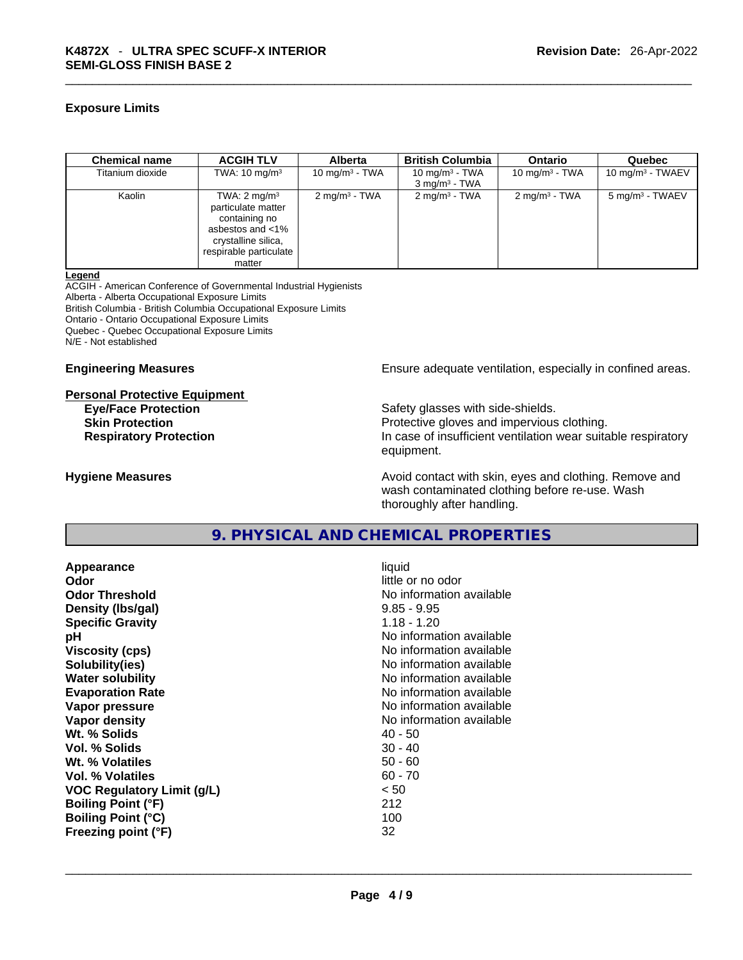### **Exposure Limits**

| <b>Chemical name</b> | <b>ACGIH TLV</b>                                                                                                                              | <b>Alberta</b>           | <b>British Columbia</b>                        | <b>Ontario</b>           | Quebec                      |
|----------------------|-----------------------------------------------------------------------------------------------------------------------------------------------|--------------------------|------------------------------------------------|--------------------------|-----------------------------|
| Titanium dioxide     | TWA: $10 \text{ mg/m}^3$                                                                                                                      | 10 mg/m $3$ - TWA        | 10 mg/m $3$ - TWA<br>3 mg/m <sup>3</sup> - TWA | 10 mg/m $3$ - TWA        | 10 mg/m $3$ - TWAEV         |
| Kaolin               | TWA: $2 \text{ mg/m}^3$<br>particulate matter<br>containing no<br>asbestos and <1%<br>crystalline silica,<br>respirable particulate<br>matter | $2 \text{ mg/m}^3$ - TWA | $2 \text{mq/m}^3$ - TWA                        | $2 \text{ mg/m}^3$ - TWA | 5 mg/m <sup>3</sup> - TWAEV |

#### **Legend**

ACGIH - American Conference of Governmental Industrial Hygienists Alberta - Alberta Occupational Exposure Limits British Columbia - British Columbia Occupational Exposure Limits Ontario - Ontario Occupational Exposure Limits Quebec - Quebec Occupational Exposure Limits N/E - Not established

#### **Engineering Measures Ensure** Ensure adequate ventilation, especially in confined areas.

#### **Personal Protective Equipment**

**Eye/Face Protection Safety glasses with side-shields.** Safety glasses with side-shields.

**Skin Protection Protection Protective gloves and impervious clothing. Respiratory Protection In case of insufficient ventilation wear suitable respiratory** equipment.

**Hygiene Measures Avoid contact with skin, eyes and clothing. Remove and Avoid contact with skin, eyes and clothing. Remove and Avoid contact with skin, eyes and clothing. Remove and** wash contaminated clothing before re-use. Wash thoroughly after handling.

# **9. PHYSICAL AND CHEMICAL PROPERTIES**

**Appearance** liquid **Odor Odor Odor Odor Odor Odor** *little or no odor little or no odor* **Odor Threshold No information available No information available Density (lbs/gal)** 9.85 - 9.95 **Specific Gravity** 1.18 - 1.20 **pH bH** *pH* **Viscosity (cps) Viscosity (cps) No information available Solubility(ies)** No information available **Water solubility No information available No information available Evaporation Rate No information available No information available Vapor pressure No information available No information available Vapor density No information available No** information available **Wt. % Solids** 40 - 50<br> **Vol. % Solids** 30 - 40 **Vol. % Solids Wt. % Volatiles** 50 - 60 **Vol. % Volatiles** 60 - 70 **VOC Regulatory Limit (g/L)** < 50 **Boiling Point (°F)** 212 **Boiling Point (°C)** 100 **Freezing point (°F)** 32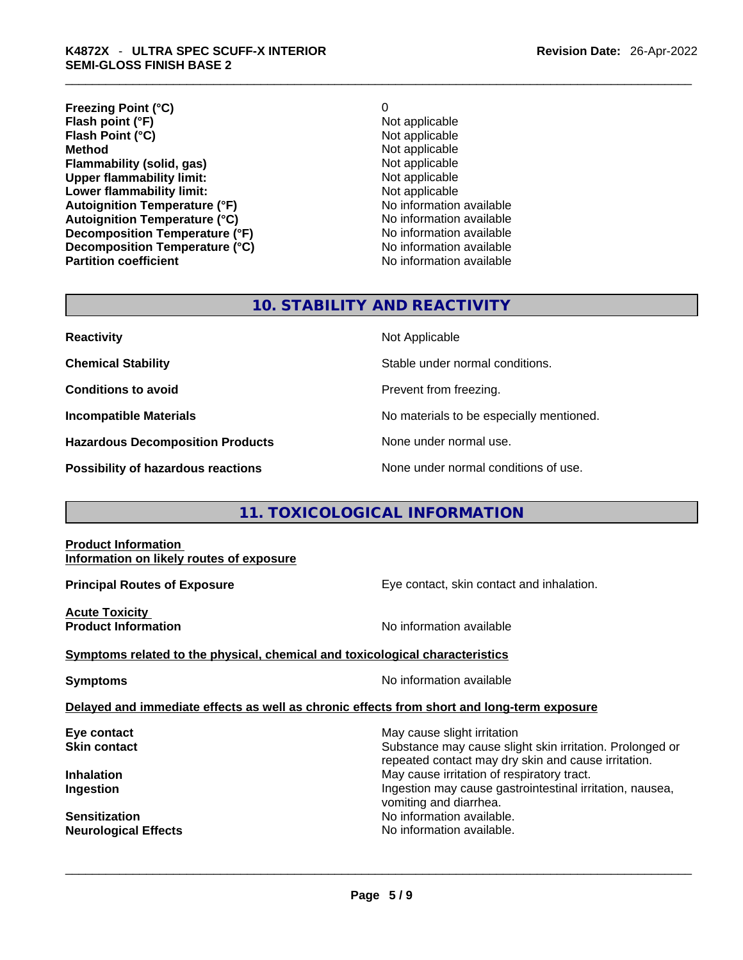**Freezing Point (°C)** 0 **Flash point (°F)**<br> **Flash Point (°C)**<br> **Flash Point (°C)**<br> **C Flash Point (°C) Method** Not applicable **Flammability (solid, gas)**<br> **Commability limit:**<br>
Upper flammability limit:<br>
Not applicable **Upper flammability limit:**<br> **Lower flammability limit:** Not applicable Not applicable **Lower flammability limit: Autoignition Temperature (°F)**<br> **Autoignition Temperature (°C)** No information available **Autoignition Temperature (°C) Decomposition Temperature (°F)** No information available **Decomposition Temperature (°C)**<br> **Partition coefficient**<br> **Partition coefficient**<br> **No** information available

**No information available** 

# **10. STABILITY AND REACTIVITY**

**Reactivity Not Applicable Not Applicable Chemical Stability** Stable under normal conditions. **Conditions to avoid Prevent from freezing. Incompatible Materials No materials** No materials to be especially mentioned. **Hazardous Decomposition Products** None under normal use. **Possibility of hazardous reactions** None under normal conditions of use.

# **11. TOXICOLOGICAL INFORMATION**

**Product Information Information on likely routes of exposure**

**Principal Routes of Exposure Exposure** Eye contact, skin contact and inhalation.

**Acute Toxicity** 

**No information available** 

**Symptoms related to the physical,chemical and toxicological characteristics**

**Symptoms Symptoms No information available** 

**Delayed and immediate effects as well as chronic effects from short and long-term exposure**

**Eye contact <b>Execution** Skin contact **Execution** Skin contact **Skin contact Skin contact Substance** may cause slight irritation Substance may cause slight skin irritation. Prolonged or repeated contact may dry skin and cause irritation. **Inhalation Inhalation Inhalation May cause irritation of respiratory tract. Ingestion Ingestion Index is a structure of the line of the line of the line of the line of the line of the line of the line of the line of the line of the line of the line of the line of the line of the line of the l** vomiting and diarrhea. **Sensitization No information available. No information available. Neurological Effects** No information available. \_\_\_\_\_\_\_\_\_\_\_\_\_\_\_\_\_\_\_\_\_\_\_\_\_\_\_\_\_\_\_\_\_\_\_\_\_\_\_\_\_\_\_\_\_\_\_\_\_\_\_\_\_\_\_\_\_\_\_\_\_\_\_\_\_\_\_\_\_\_\_\_\_\_\_\_\_\_\_\_\_\_\_\_\_\_\_\_\_\_\_\_\_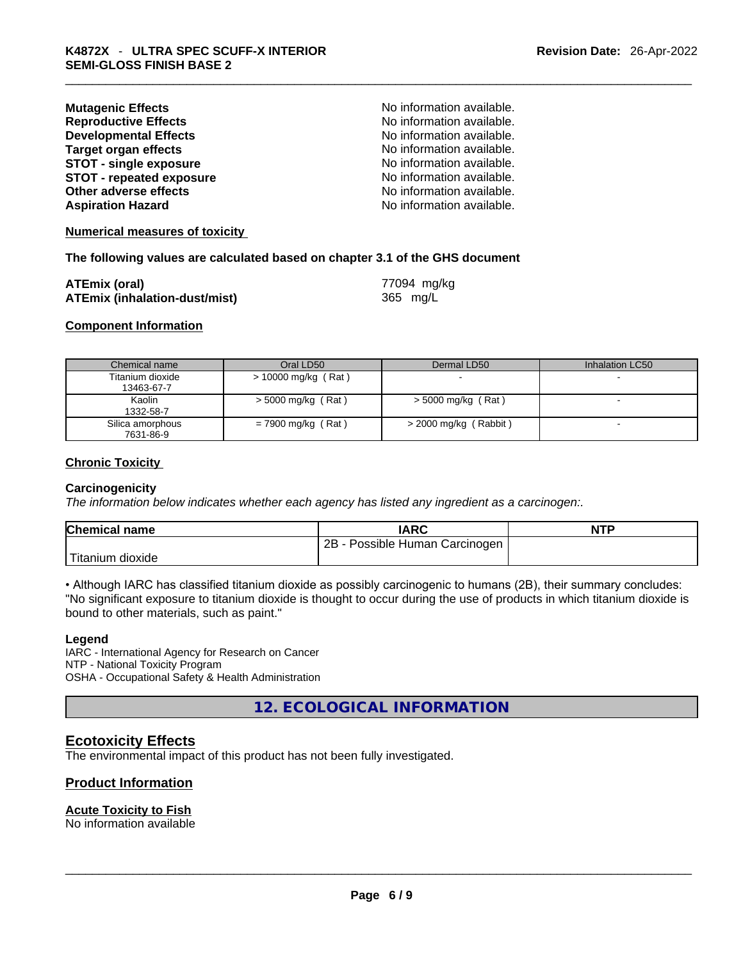| <b>Mutagenic Effects</b>        | No information available. |
|---------------------------------|---------------------------|
| <b>Reproductive Effects</b>     | No information available. |
| <b>Developmental Effects</b>    | No information available. |
| <b>Target organ effects</b>     | No information available. |
| <b>STOT - single exposure</b>   | No information available. |
| <b>STOT - repeated exposure</b> | No information available. |
| Other adverse effects           | No information available. |
| <b>Aspiration Hazard</b>        | No information available. |
|                                 |                           |

#### **Numerical measures of toxicity**

#### **The following values are calculated based on chapter 3.1 of the GHS document**

| <b>ATEmix (oral)</b>                 | 77094 mg/kg |
|--------------------------------------|-------------|
| <b>ATEmix (inhalation-dust/mist)</b> | 365 mg/L    |

#### **Component Information**

| Chemical name    | Oral LD50             | Dermal LD50             | Inhalation LC50 |
|------------------|-----------------------|-------------------------|-----------------|
| Titanium dioxide | $>$ 10000 mg/kg (Rat) |                         | -               |
| 13463-67-7       |                       |                         |                 |
| Kaolin           | $>$ 5000 mg/kg (Rat)  | $>$ 5000 mg/kg (Rat)    |                 |
| 1332-58-7        |                       |                         |                 |
| Silica amorphous | $= 7900$ mg/kg (Rat)  | $>$ 2000 mg/kg (Rabbit) |                 |
| 7631-86-9        |                       |                         |                 |

#### **Chronic Toxicity**

#### **Carcinogenicity**

*The information below indicates whether each agency has listed any ingredient as a carcinogen:.* 

| <b>Chemical name</b>          | <b>IARC</b>                       | <b>NTP</b> |
|-------------------------------|-----------------------------------|------------|
|                               | 2B<br>- Possible Human Carcinogen |            |
| <sup>I</sup> Titanium dioxide |                                   |            |

• Although IARC has classified titanium dioxide as possibly carcinogenic to humans (2B), their summary concludes: "No significant exposure to titanium dioxide is thought to occur during the use of products in which titanium dioxide is bound to other materials, such as paint."

#### **Legend**

IARC - International Agency for Research on Cancer NTP - National Toxicity Program OSHA - Occupational Safety & Health Administration

**12. ECOLOGICAL INFORMATION** 

#### **Ecotoxicity Effects**

The environmental impact of this product has not been fully investigated.

#### **Product Information**

# **Acute Toxicity to Fish**

No information available \_\_\_\_\_\_\_\_\_\_\_\_\_\_\_\_\_\_\_\_\_\_\_\_\_\_\_\_\_\_\_\_\_\_\_\_\_\_\_\_\_\_\_\_\_\_\_\_\_\_\_\_\_\_\_\_\_\_\_\_\_\_\_\_\_\_\_\_\_\_\_\_\_\_\_\_\_\_\_\_\_\_\_\_\_\_\_\_\_\_\_\_\_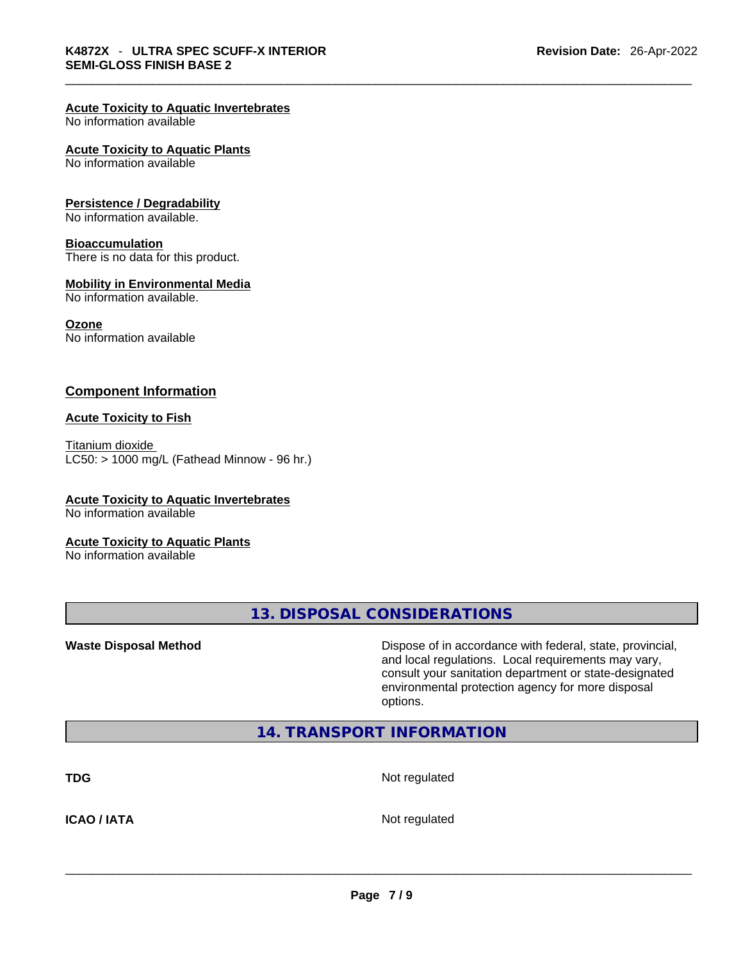# **Acute Toxicity to Aquatic Invertebrates**

No information available

#### **Acute Toxicity to Aquatic Plants**

No information available

#### **Persistence / Degradability**

No information available.

#### **Bioaccumulation**

There is no data for this product.

#### **Mobility in Environmental Media**

No information available.

### **Ozone**

No information available

#### **Component Information**

#### **Acute Toxicity to Fish**

Titanium dioxide  $LC50:$  > 1000 mg/L (Fathead Minnow - 96 hr.)

# **Acute Toxicity to Aquatic Invertebrates**

No information available

#### **Acute Toxicity to Aquatic Plants**

No information available

**13. DISPOSAL CONSIDERATIONS** 

**Waste Disposal Method** Dispose of in accordance with federal, state, provincial, and local regulations. Local requirements may vary, consult your sanitation department or state-designated environmental protection agency for more disposal options.

# **14. TRANSPORT INFORMATION**

**TDG** Not regulated

**ICAO / IATA** Not regulated \_\_\_\_\_\_\_\_\_\_\_\_\_\_\_\_\_\_\_\_\_\_\_\_\_\_\_\_\_\_\_\_\_\_\_\_\_\_\_\_\_\_\_\_\_\_\_\_\_\_\_\_\_\_\_\_\_\_\_\_\_\_\_\_\_\_\_\_\_\_\_\_\_\_\_\_\_\_\_\_\_\_\_\_\_\_\_\_\_\_\_\_\_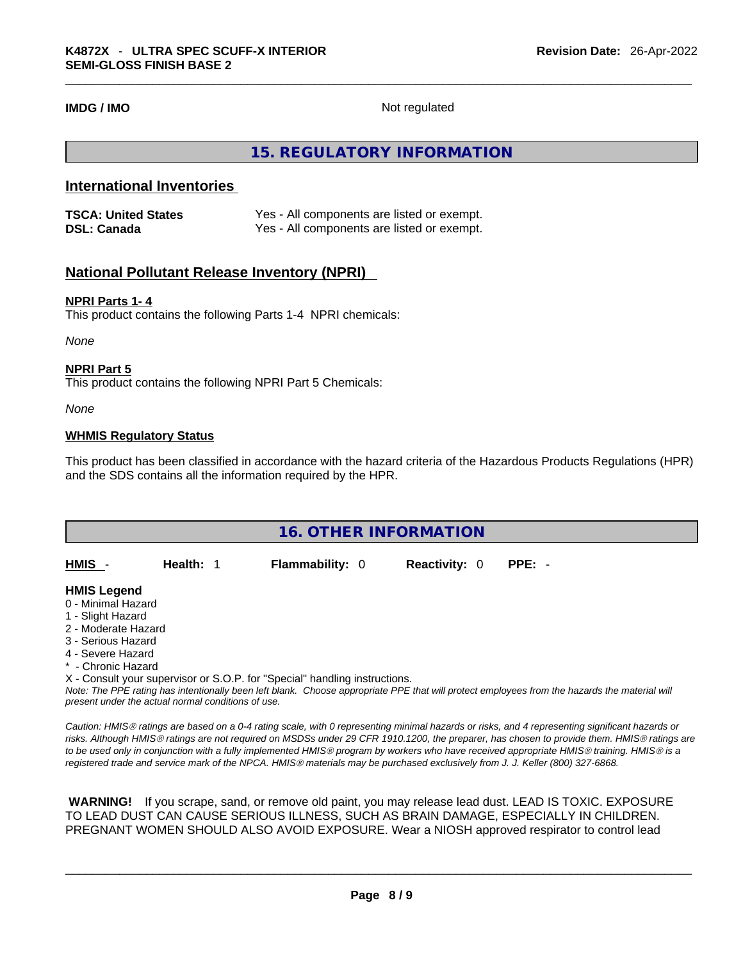**IMDG / IMO** Not regulated

# **15. REGULATORY INFORMATION**

# **International Inventories**

| <b>TSCA: United States</b> | Yes - All components are listed or exempt. |
|----------------------------|--------------------------------------------|
| <b>DSL: Canada</b>         | Yes - All components are listed or exempt. |

# **National Pollutant Release Inventory (NPRI)**

#### **NPRI Parts 1- 4**

This product contains the following Parts 1-4 NPRI chemicals:

*None*

#### **NPRI Part 5**

This product contains the following NPRI Part 5 Chemicals:

*None*

#### **WHMIS Regulatory Status**

This product has been classified in accordance with the hazard criteria of the Hazardous Products Regulations (HPR) and the SDS contains all the information required by the HPR.

| <b>16. OTHER INFORMATION</b>                                                                                                                                                                                                |  |  |  |  |
|-----------------------------------------------------------------------------------------------------------------------------------------------------------------------------------------------------------------------------|--|--|--|--|
| HMIS -<br><b>Flammability: 0</b><br><b>Reactivity: 0</b><br>Health: 1<br>$PPE: -$                                                                                                                                           |  |  |  |  |
| <b>HMIS Legend</b><br>0 - Minimal Hazard<br>1 - Slight Hazard<br>2 - Moderate Hazard<br>3 - Serious Hazard<br>4 - Severe Hazard<br>* - Chronic Hazard                                                                       |  |  |  |  |
| X - Consult your supervisor or S.O.P. for "Special" handling instructions.<br>Note: The PPF rating has intentionally been left blank. Choose appropriate PPF that will protect employees from the hazards the material will |  |  |  |  |

Note: The PPE rating has intentionally been left blank. Choose appropriate PPE that will protect employees from the hazards the material will *present under the actual normal conditions of use.* 

*Caution: HMISÒ ratings are based on a 0-4 rating scale, with 0 representing minimal hazards or risks, and 4 representing significant hazards or risks. Although HMISÒ ratings are not required on MSDSs under 29 CFR 1910.1200, the preparer, has chosen to provide them. HMISÒ ratings are to be used only in conjunction with a fully implemented HMISÒ program by workers who have received appropriate HMISÒ training. HMISÒ is a registered trade and service mark of the NPCA. HMISÒ materials may be purchased exclusively from J. J. Keller (800) 327-6868.* 

 **WARNING!** If you scrape, sand, or remove old paint, you may release lead dust. LEAD IS TOXIC. EXPOSURE TO LEAD DUST CAN CAUSE SERIOUS ILLNESS, SUCH AS BRAIN DAMAGE, ESPECIALLY IN CHILDREN. PREGNANT WOMEN SHOULD ALSO AVOID EXPOSURE.Wear a NIOSH approved respirator to control lead